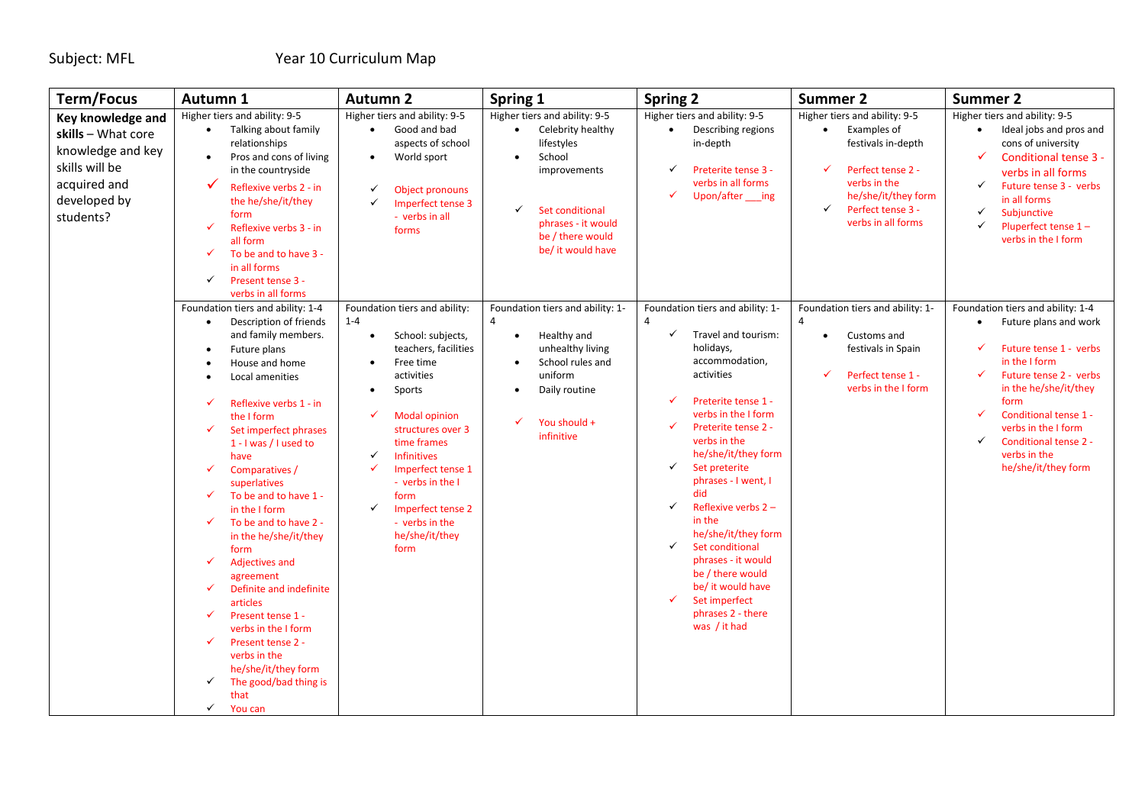| <b>Term/Focus</b>                                                                                                           | Autumn 1                                                                                                                                                                                                                                                                                                                                                                                                                                                                                                                                                                                                                                                                                                                                                                                                                       | <b>Autumn 2</b>                                                                                                                                                                                                                                                                                                                                                              | Spring 1                                                                                                                                                                                                               | <b>Spring 2</b>                                                                                                                                                                                                                                                                                                                                                                                                                                                                         | <b>Summer 2</b>                                                                                                                                                                                           | <b>Summer 2</b>                                                                                                                                                                                                                                                                                                                    |
|-----------------------------------------------------------------------------------------------------------------------------|--------------------------------------------------------------------------------------------------------------------------------------------------------------------------------------------------------------------------------------------------------------------------------------------------------------------------------------------------------------------------------------------------------------------------------------------------------------------------------------------------------------------------------------------------------------------------------------------------------------------------------------------------------------------------------------------------------------------------------------------------------------------------------------------------------------------------------|------------------------------------------------------------------------------------------------------------------------------------------------------------------------------------------------------------------------------------------------------------------------------------------------------------------------------------------------------------------------------|------------------------------------------------------------------------------------------------------------------------------------------------------------------------------------------------------------------------|-----------------------------------------------------------------------------------------------------------------------------------------------------------------------------------------------------------------------------------------------------------------------------------------------------------------------------------------------------------------------------------------------------------------------------------------------------------------------------------------|-----------------------------------------------------------------------------------------------------------------------------------------------------------------------------------------------------------|------------------------------------------------------------------------------------------------------------------------------------------------------------------------------------------------------------------------------------------------------------------------------------------------------------------------------------|
| Key knowledge and<br>skills - What core<br>knowledge and key<br>skills will be<br>acquired and<br>developed by<br>students? | Higher tiers and ability: 9-5<br>Talking about family<br>$\bullet$<br>relationships<br>$\bullet$<br>Pros and cons of living<br>in the countryside<br>✓<br>Reflexive verbs 2 - in<br>the he/she/it/they<br>form<br>Reflexive verbs 3 - in<br>✓<br>all form<br>$\checkmark$<br>To be and to have 3 -<br>in all forms<br>$\checkmark$<br>Present tense 3 -                                                                                                                                                                                                                                                                                                                                                                                                                                                                        | Higher tiers and ability: 9-5<br>Good and bad<br>$\bullet$<br>aspects of school<br>World sport<br>$\bullet$<br><b>Object pronouns</b><br>✓<br>Imperfect tense 3<br>✓<br>- verbs in all<br>forms                                                                                                                                                                              | Higher tiers and ability: 9-5<br>Celebrity healthy<br>$\bullet$<br>lifestyles<br>School<br>$\bullet$<br>improvements<br>$\checkmark$<br>Set conditional<br>phrases - it would<br>be / there would<br>be/ it would have | Higher tiers and ability: 9-5<br>Describing regions<br>in-depth<br>Preterite tense 3 -<br>verbs in all forms<br>Upon/after ___ ing                                                                                                                                                                                                                                                                                                                                                      | Higher tiers and ability: 9-5<br>Examples of<br>festivals in-depth<br>$\checkmark$<br>Perfect tense 2 -<br>verbs in the<br>he/she/it/they form<br>Perfect tense 3 -<br>$\checkmark$<br>verbs in all forms | Higher tiers and ability: 9-5<br>Ideal jobs and pros and<br>$\bullet$<br>cons of university<br>Conditional tense 3 -<br>$\checkmark$<br>verbs in all forms<br>Future tense 3 - verbs<br>✓<br>in all forms<br>Subjunctive<br>✓<br>Pluperfect tense 1-<br>✓<br>verbs in the I form                                                   |
|                                                                                                                             | verbs in all forms<br>Foundation tiers and ability: 1-4<br>Description of friends<br>$\bullet$<br>and family members.<br>Future plans<br>$\bullet$<br>House and home<br>Local amenities<br>Reflexive verbs 1 - in<br>$\checkmark$<br>the I form<br>$\checkmark$<br>Set imperfect phrases<br>1 - I was / I used to<br>have<br>$\checkmark$<br>Comparatives /<br>superlatives<br>To be and to have 1 -<br>$\checkmark$<br>in the I form<br>To be and to have 2 -<br>✓<br>in the he/she/it/they<br>form<br>$\checkmark$<br>Adjectives and<br>agreement<br>$\checkmark$<br>Definite and indefinite<br>articles<br>$\checkmark$<br>Present tense 1 -<br>verbs in the I form<br>Present tense 2 -<br>$\checkmark$<br>verbs in the<br>he/she/it/they form<br>The good/bad thing is<br>$\checkmark$<br>that<br>$\checkmark$<br>You can | Foundation tiers and ability:<br>$1 - 4$<br>School: subjects,<br>$\bullet$<br>teachers, facilities<br>Free time<br>$\bullet$<br>activities<br>Sports<br><b>Modal opinion</b><br>✓<br>structures over 3<br>time frames<br><b>Infinitives</b><br>✓<br>Imperfect tense 1<br>✓<br>- verbs in the I<br>form<br>Imperfect tense 2<br>✓<br>- verbs in the<br>he/she/it/they<br>form | Foundation tiers and ability: 1-<br>4<br>Healthy and<br>$\bullet$<br>unhealthy living<br>School rules and<br>uniform<br>Daily routine<br>You should +<br>✓<br>infinitive                                               | Foundation tiers and ability: 1-<br>4<br>✓<br>Travel and tourism:<br>holidays,<br>accommodation,<br>activities<br>Preterite tense 1 -<br>verbs in the I form<br>Preterite tense 2 -<br>verbs in the<br>he/she/it/they form<br>✓<br>Set preterite<br>phrases - I went, I<br>did<br>Reflexive verbs 2-<br>✓<br>in the<br>he/she/it/they form<br>Set conditional<br>✓<br>phrases - it would<br>be / there would<br>be/ it would have<br>Set imperfect<br>phrases 2 - there<br>was / it had | Foundation tiers and ability: 1-<br>Customs and<br>$\bullet$<br>festivals in Spain<br>Perfect tense 1 -<br>✓<br>verbs in the I form                                                                       | Foundation tiers and ability: 1-4<br>Future plans and work<br>$\bullet$<br>Future tense 1 - verbs<br>✓<br>in the I form<br>Future tense 2 - verbs<br>in the he/she/it/they<br>form<br>$\checkmark$<br>Conditional tense 1 -<br>verbs in the I form<br>$\checkmark$<br>Conditional tense 2 -<br>verbs in the<br>he/she/it/they form |